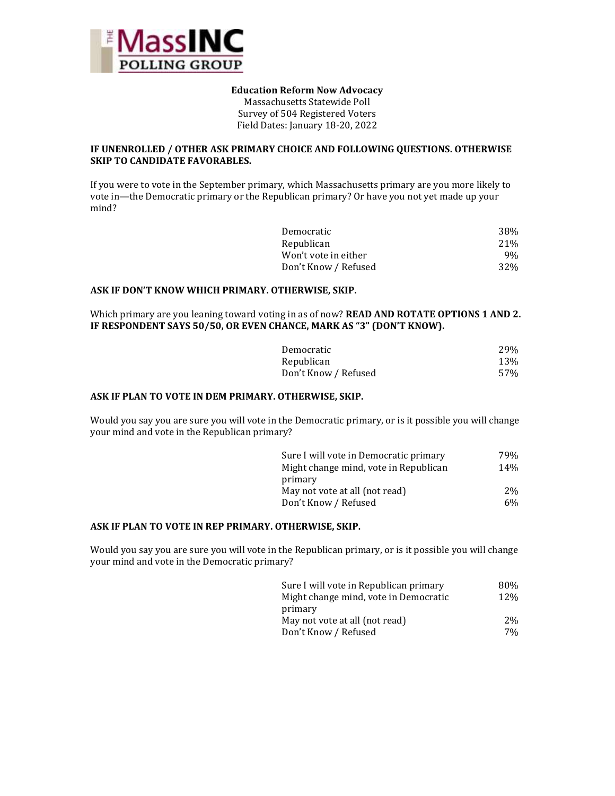

#### **Education Reform Now Advocacy**

Massachusetts Statewide Poll Survey of 504 Registered Voters Field Dates: January 18-20, 2022

## **IF UNENROLLED / OTHER ASK PRIMARY CHOICE AND FOLLOWING QUESTIONS. OTHERWISE SKIP TO CANDIDATE FAVORABLES.**

If you were to vote in the September primary, which Massachusetts primary are you more likely to vote in—the Democratic primary or the Republican primary? Or have you not yet made up your mind?

| 38%             |
|-----------------|
| 21%             |
| 9%              |
| 32 <sup>%</sup> |
|                 |

# **ASK IF DON'T KNOW WHICH PRIMARY. OTHERWISE, SKIP.**

Which primary are you leaning toward voting in as of now? **READ AND ROTATE OPTIONS 1 AND 2. IF RESPONDENT SAYS 50/50, OR EVEN CHANCE, MARK AS "3" (DON'T KNOW).**

| Democratic           | <b>29%</b> |
|----------------------|------------|
| Republican           | 13%        |
| Don't Know / Refused | 57%        |

## **ASK IF PLAN TO VOTE IN DEM PRIMARY. OTHERWISE, SKIP.**

Would you say you are sure you will vote in the Democratic primary, or is it possible you will change your mind and vote in the Republican primary?

| Sure I will vote in Democratic primary | 79%             |
|----------------------------------------|-----------------|
| Might change mind, vote in Republican  | 14 <sub>%</sub> |
| primary                                |                 |
| May not vote at all (not read)         | 2%              |
| Don't Know / Refused                   | 6%              |

#### **ASK IF PLAN TO VOTE IN REP PRIMARY. OTHERWISE, SKIP.**

Would you say you are sure you will vote in the Republican primary, or is it possible you will change your mind and vote in the Democratic primary?

| Sure I will vote in Republican primary | 80%        |
|----------------------------------------|------------|
| Might change mind, vote in Democratic  | <b>12%</b> |
| primary                                |            |
| May not vote at all (not read)         | 2%         |
| Don't Know / Refused                   | $7\%$      |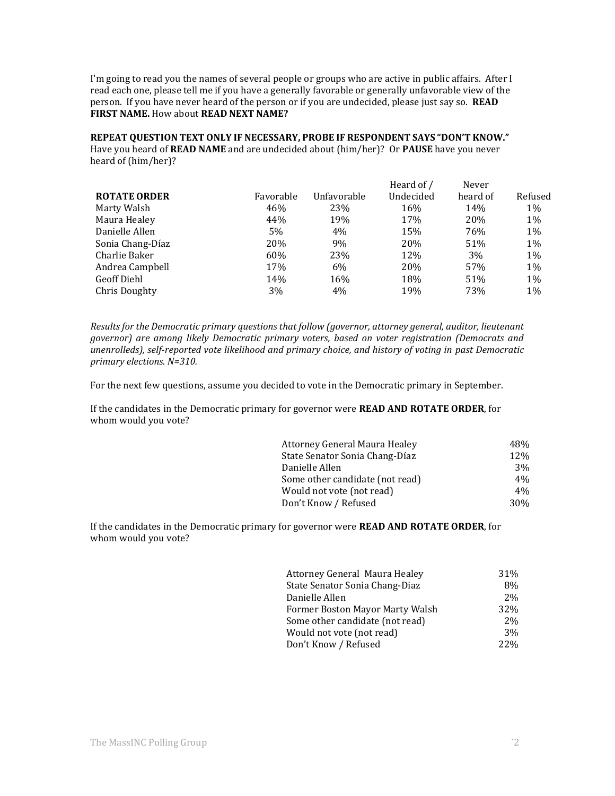I'm going to read you the names of several people or groups who are active in public affairs. After I read each one, please tell me if you have a generally favorable or generally unfavorable view of the person. If you have never heard of the person or if you are undecided, please just say so. **READ FIRST NAME.** How about **READ NEXT NAME?** 

**REPEAT QUESTION TEXT ONLY IF NECESSARY, PROBE IF RESPONDENT SAYS "DON'T KNOW."** Have you heard of **READ NAME** and are undecided about (him/her)? Or **PAUSE** have you never heard of (him/her)?

|           |             | Heard of / | Never    |         |
|-----------|-------------|------------|----------|---------|
| Favorable | Unfavorable | Undecided  | heard of | Refused |
| 46%       | 23%         | 16%        | 14%      | 1%      |
| 44%       | 19%         | 17%        | 20%      | 1%      |
| 5%        | 4%          | 15%        | 76%      | 1%      |
| 20%       | 9%          | 20%        | 51%      | 1%      |
| 60%       | 23%         | 12%        | 3%       | $1\%$   |
| 17%       | 6%          | 20%        | 57%      | 1%      |
| 14%       | 16%         | 18%        | 51%      | 1%      |
| 3%        | 4%          | 19%        | 73%      | 1%      |
|           |             |            |          |         |

*Results for the Democratic primary questions that follow (governor, attorney general, auditor, lieutenant governor) are among likely Democratic primary voters, based on voter registration (Democrats and unenrolleds), self-reported vote likelihood and primary choice, and history of voting in past Democratic primary elections. N=310.*

For the next few questions, assume you decided to vote in the Democratic primary in September.

If the candidates in the Democratic primary for governor were **READ AND ROTATE ORDER**, for whom would you vote?

| <b>Attorney General Maura Healey</b> | 48%             |
|--------------------------------------|-----------------|
| State Senator Sonia Chang-Díaz       | 12%             |
| Danielle Allen                       | 3%              |
| Some other candidate (not read)      | 4%              |
| Would not vote (not read)            | 4%              |
| Don't Know / Refused                 | 30 <sub>%</sub> |

If the candidates in the Democratic primary for governor were **READ AND ROTATE ORDER**, for whom would you vote?

| Attorney General Maura Healey   | 31% |
|---------------------------------|-----|
| State Senator Sonia Chang-Diaz  | 8%  |
| Danielle Allen                  | 2%  |
| Former Boston Mayor Marty Walsh | 32% |
| Some other candidate (not read) | 2%  |
| Would not vote (not read)       | 3%  |
| Don't Know / Refused            | 22% |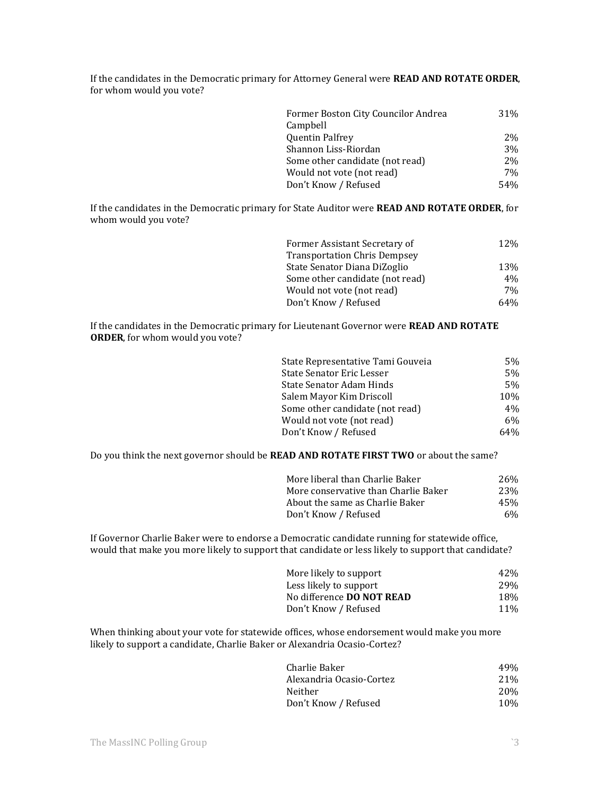If the candidates in the Democratic primary for Attorney General were **READ AND ROTATE ORDER**, for whom would you vote?

| Former Boston City Councilor Andrea | 31%             |
|-------------------------------------|-----------------|
| Campbell                            |                 |
| <b>Quentin Palfrey</b>              | 2%              |
| Shannon Liss-Riordan                | 3%              |
| Some other candidate (not read)     | 2%              |
| Would not vote (not read)           | 7%              |
| Don't Know / Refused                | 54 <sub>%</sub> |

If the candidates in the Democratic primary for State Auditor were **READ AND ROTATE ORDER**, for whom would you vote?

| Former Assistant Secretary of       | 12% |
|-------------------------------------|-----|
| <b>Transportation Chris Dempsey</b> |     |
| State Senator Diana DiZoglio        | 13% |
| Some other candidate (not read)     | 4%  |
| Would not vote (not read)           | 7%  |
| Don't Know / Refused                | 64% |

If the candidates in the Democratic primary for Lieutenant Governor were **READ AND ROTATE ORDER**, for whom would you vote?

| State Representative Tami Gouveia | 5%             |
|-----------------------------------|----------------|
| State Senator Eric Lesser         | 5 <sub>%</sub> |
| State Senator Adam Hinds          | 5%             |
| Salem Mayor Kim Driscoll          | 10%            |
| Some other candidate (not read)   | 4%             |
| Would not vote (not read)         | 6%             |
| Don't Know / Refused              | 64%            |

Do you think the next governor should be **READ AND ROTATE FIRST TWO** or about the same?

| More liberal than Charlie Baker      | 26%        |
|--------------------------------------|------------|
| More conservative than Charlie Baker | <b>23%</b> |
| About the same as Charlie Baker      | 45%        |
| Don't Know / Refused                 | $6\%$      |

If Governor Charlie Baker were to endorse a Democratic candidate running for statewide office, would that make you more likely to support that candidate or less likely to support that candidate?

| More likely to support           | 42% |
|----------------------------------|-----|
| Less likely to support           | 29% |
| No difference <b>DO NOT READ</b> | 18% |
| Don't Know / Refused             | 11% |

When thinking about your vote for statewide offices, whose endorsement would make you more likely to support a candidate, Charlie Baker or Alexandria Ocasio-Cortez?

| Charlie Baker            | 49%  |
|--------------------------|------|
| Alexandria Ocasio-Cortez | 21%  |
| Neither                  | 20\% |
| Don't Know / Refused     | 10%  |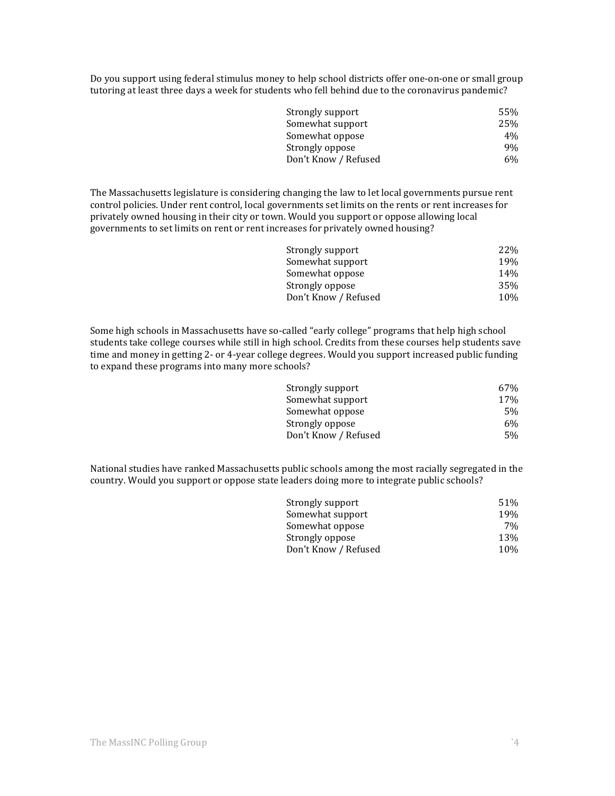Do you support using federal stimulus money to help school districts offer one-on-one or small group tutoring at least three days a week for students who fell behind due to the coronavirus pandemic?

| Strongly support     | 55%   |
|----------------------|-------|
| Somewhat support     | 25%   |
| Somewhat oppose      | $4\%$ |
| Strongly oppose      | 9%    |
| Don't Know / Refused | $6\%$ |
|                      |       |

The Massachusetts legislature is considering changing the law to let local governments pursue rent control policies. Under rent control, local governments set limits on the rents or rent increases for privately owned housing in their city or town. Would you support or oppose allowing local governments to set limits on rent or rent increases for privately owned housing?

| Strongly support     | <b>22%</b>      |
|----------------------|-----------------|
| Somewhat support     | 19%             |
| Somewhat oppose      | 14 <sub>%</sub> |
| Strongly oppose      | 35%             |
| Don't Know / Refused | 10%             |
|                      |                 |

Some high schools in Massachusetts have so-called "early college" programs that help high school students take college courses while still in high school. Credits from these courses help students save time and money in getting 2- or 4-year college degrees. Would you support increased public funding to expand these programs into many more schools?

| Strongly support     | 67% |
|----------------------|-----|
| Somewhat support     | 17% |
| Somewhat oppose      | 5%  |
| Strongly oppose      | 6%  |
| Don't Know / Refused | 5%  |
|                      |     |

National studies have ranked Massachusetts public schools among the most racially segregated in the country. Would you support or oppose state leaders doing more to integrate public schools?

| Strongly support     | 51%   |
|----------------------|-------|
| Somewhat support     | 19%   |
| Somewhat oppose      | $7\%$ |
| Strongly oppose      | 13%   |
| Don't Know / Refused | 10%   |